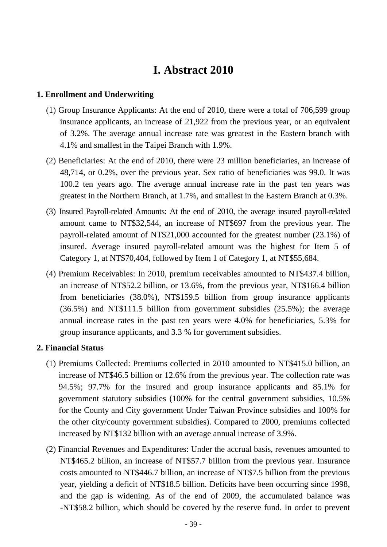# **I. Abstract 2010**

### **1. Enrollment and Underwriting**

- (1) Group Insurance Applicants: At the end of 2010, there were a total of 706,599 group insurance applicants, an increase of 21,922 from the previous year, or an equivalent of 3.2%. The average annual increase rate was greatest in the Eastern branch with 4.1% and smallest in the Taipei Branch with 1.9%.
- (2) Beneficiaries: At the end of 2010, there were 23 million beneficiaries, an increase of 48,714, or 0.2%, over the previous year. Sex ratio of beneficiaries was 99.0. It was 100.2 ten years ago. The average annual increase rate in the past ten years was greatest in the Northern Branch, at 1.7%, and smallest in the Eastern Branch at 0.3%.
- (3) Insured Payroll-related Amounts: At the end of 2010, the average insured payroll-related amount came to NT\$32,544, an increase of NT\$697 from the previous year. The payroll-related amount of NT\$21,000 accounted for the greatest number (23.1%) of insured. Average insured payroll-related amount was the highest for Item 5 of Category 1, at NT\$70,404, followed by Item 1 of Category 1, at NT\$55,684.
- (4) Premium Receivables: In 2010, premium receivables amounted to NT\$437.4 billion, an increase of NT\$52.2 billion, or 13.6%, from the previous year, NT\$166.4 billion from beneficiaries (38.0%), NT\$159.5 billion from group insurance applicants (36.5%) and NT\$111.5 billion from government subsidies (25.5%); the average annual increase rates in the past ten years were 4.0% for beneficiaries, 5.3% for group insurance applicants, and 3.3 % for government subsidies.

## **2. Financial Status**

- (1) Premiums Collected: Premiums collected in 2010 amounted to NT\$415.0 billion, an increase of NT\$46.5 billion or 12.6% from the previous year. The collection rate was 94.5%; 97.7% for the insured and group insurance applicants and 85.1% for government statutory subsidies (100% for the central government subsidies, 10.5% for the County and City government Under Taiwan Province subsidies and 100% for the other city/county government subsidies). Compared to 2000, premiums collected increased by NT\$132 billion with an average annual increase of 3.9%.
- (2) Financial Revenues and Expenditures: Under the accrual basis, revenues amounted to NT\$465.2 billion, an increase of NT\$57.7 billion from the previous year. Insurance costs amounted to NT\$446.7 billion, an increase of NT\$7.5 billion from the previous year, yielding a deficit of NT\$18.5 billion. Deficits have been occurring since 1998, and the gap is widening. As of the end of 2009, the accumulated balance was -NT\$58.2 billion, which should be covered by the reserve fund. In order to prevent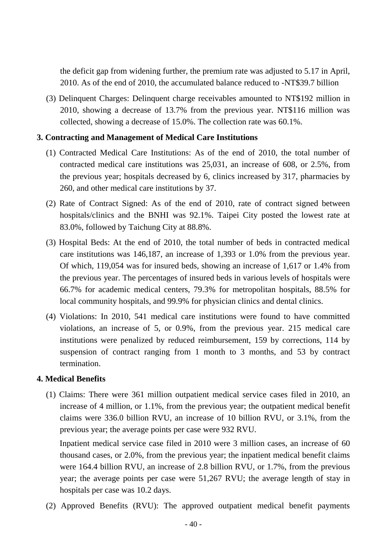the deficit gap from widening further, the premium rate was adjusted to 5.17 in April, 2010. As of the end of 2010, the accumulated balance reduced to -NT\$39.7 billion

(3) Delinquent Charges: Delinquent charge receivables amounted to NT\$192 million in 2010, showing a decrease of 13.7% from the previous year. NT\$116 million was collected, showing a decrease of 15.0%. The collection rate was 60.1%.

#### **3. Contracting and Management of Medical Care Institutions**

- (1) Contracted Medical Care Institutions: As of the end of 2010, the total number of contracted medical care institutions was 25,031, an increase of 608, or 2.5%, from the previous year; hospitals decreased by 6, clinics increased by 317, pharmacies by 260, and other medical care institutions by 37.
- (2) Rate of Contract Signed: As of the end of 2010, rate of contract signed between hospitals/clinics and the BNHI was 92.1%. Taipei City posted the lowest rate at 83.0%, followed by Taichung City at 88.8%.
- (3) Hospital Beds: At the end of 2010, the total number of beds in contracted medical care institutions was 146,187, an increase of 1,393 or 1.0% from the previous year. Of which, 119,054 was for insured beds, showing an increase of 1,617 or 1.4% from the previous year. The percentages of insured beds in various levels of hospitals were 66.7% for academic medical centers, 79.3% for metropolitan hospitals, 88.5% for local community hospitals, and 99.9% for physician clinics and dental clinics.
- (4) Violations: In 2010, 541 medical care institutions were found to have committed violations, an increase of 5, or 0.9%, from the previous year. 215 medical care institutions were penalized by reduced reimbursement, 159 by corrections, 114 by suspension of contract ranging from 1 month to 3 months, and 53 by contract termination.

#### **4. Medical Benefits**

(1) Claims: There were 361 million outpatient medical service cases filed in 2010, an increase of 4 million, or 1.1%, from the previous year; the outpatient medical benefit claims were 336.0 billion RVU, an increase of 10 billion RVU, or 3.1%, from the previous year; the average points per case were 932 RVU.

Inpatient medical service case filed in 2010 were 3 million cases, an increase of 60 thousand cases, or 2.0%, from the previous year; the inpatient medical benefit claims were 164.4 billion RVU, an increase of 2.8 billion RVU, or 1.7%, from the previous year; the average points per case were 51,267 RVU; the average length of stay in hospitals per case was 10.2 days.

(2) Approved Benefits (RVU): The approved outpatient medical benefit payments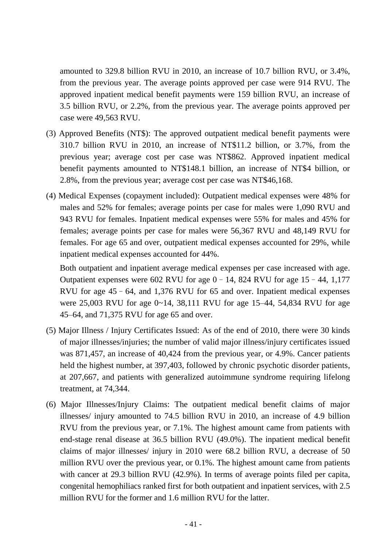amounted to 329.8 billion RVU in 2010, an increase of 10.7 billion RVU, or 3.4%, from the previous year. The average points approved per case were 914 RVU. The approved inpatient medical benefit payments were 159 billion RVU, an increase of 3.5 billion RVU, or 2.2%, from the previous year. The average points approved per case were 49,563 RVU.

- (3) Approved Benefits (NT\$): The approved outpatient medical benefit payments were 310.7 billion RVU in 2010, an increase of NT\$11.2 billion, or 3.7%, from the previous year; average cost per case was NT\$862. Approved inpatient medical benefit payments amounted to NT\$148.1 billion, an increase of NT\$4 billion, or 2.8%, from the previous year; average cost per case was NT\$46,168.
- (4) Medical Expenses (copayment included): Outpatient medical expenses were 48% for males and 52% for females; average points per case for males were 1,090 RVU and 943 RVU for females. Inpatient medical expenses were 55% for males and 45% for females; average points per case for males were 56,367 RVU and 48,149 RVU for females. For age 65 and over, outpatient medical expenses accounted for 29%, while inpatient medical expenses accounted for 44%.

Both outpatient and inpatient average medical expenses per case increased with age. Outpatient expenses were  $602$  RVU for age  $0-14$ , 824 RVU for age  $15-44$ , 1,177 RVU for age 45–64, and 1,376 RVU for 65 and over. Inpatient medical expenses were 25,003 RVU for age 0~14, 38,111 RVU for age 15–44, 54,834 RVU for age 45–64, and 71,375 RVU for age 65 and over.

- (5) Major Illness / Injury Certificates Issued: As of the end of 2010, there were 30 kinds of major illnesses/injuries; the number of valid major illness/injury certificates issued was 871,457, an increase of 40,424 from the previous year, or 4.9%. Cancer patients held the highest number, at 397,403, followed by chronic psychotic disorder patients, at 207,667, and patients with generalized autoimmune syndrome requiring lifelong treatment, at 74,344.
- (6) Major Illnesses/Injury Claims: The outpatient medical benefit claims of major illnesses/ injury amounted to 74.5 billion RVU in 2010, an increase of 4.9 billion RVU from the previous year, or 7.1%. The highest amount came from patients with end-stage renal disease at 36.5 billion RVU (49.0%). The inpatient medical benefit claims of major illnesses/ injury in 2010 were 68.2 billion RVU, a decrease of 50 million RVU over the previous year, or 0.1%. The highest amount came from patients with cancer at 29.3 billion RVU (42.9%). In terms of average points filed per capita, congenital hemophiliacs ranked first for both outpatient and inpatient services, with 2.5 million RVU for the former and 1.6 million RVU for the latter.